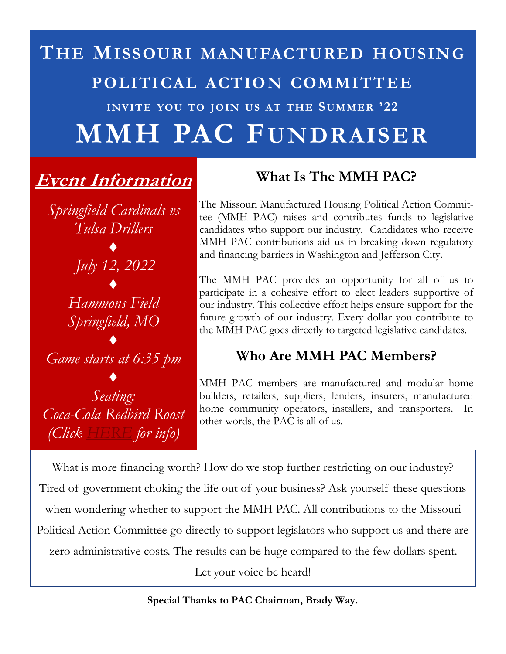# **THE MISSOURI MANUFACTURED HOUSING POLITICAL ACTION COMMITTEE INVITE YOU TO JOIN US AT THE SUMMER '22 MMH PAC FUNDRAISER**

## **Event Information**

*Springfield Cardinals vs Tulsa Drillers ♦ July 12, 2022 ♦ Hammons Field* 

*Springfield, MO ♦*

*Game starts at 6:35 pm*

*♦ Seating: Coca-Cola Redbird Roost (Click [HERE](https://www.milb.com/springfield/tickets/premium/all-inclusive) for info)*

### **What Is The MMH PAC?**

The Missouri Manufactured Housing Political Action Committee (MMH PAC) raises and contributes funds to legislative candidates who support our industry. Candidates who receive MMH PAC contributions aid us in breaking down regulatory and financing barriers in Washington and Jefferson City.

The MMH PAC provides an opportunity for all of us to participate in a cohesive effort to elect leaders supportive of our industry. This collective effort helps ensure support for the future growth of our industry. Every dollar you contribute to the MMH PAC goes directly to targeted legislative candidates.

#### **Who Are MMH PAC Members?**

MMH PAC members are manufactured and modular home builders, retailers, suppliers, lenders, insurers, manufactured home community operators, installers, and transporters. In other words, the PAC is all of us.

What is more financing worth? How do we stop further restricting on our industry? Tired of government choking the life out of your business? Ask yourself these questions when wondering whether to support the MMH PAC. All contributions to the Missouri Political Action Committee go directly to support legislators who support us and there are zero administrative costs. The results can be huge compared to the few dollars spent. Let your voice be heard!

**Special Thanks to PAC Chairman, Brady Way.**